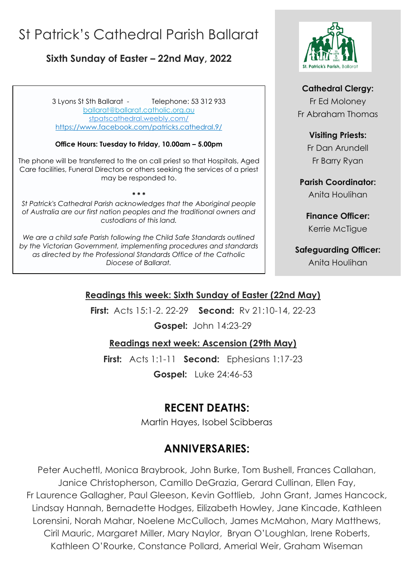# St Patrick's Cathedral Parish Ballarat

### **Sixth Sunday of Easter – 22nd May, 2022**

**,** <https://www.facebook.com/patricks.cathedral.9/> 3 Lyons St Sth Ballarat - Telephone: 53 312 933 [ballarat@ballarat.catholic.org.au](mailto:ballarat@ballarat.catholic.org.au)  [stpatscathedral.weebly.com/](https://stpatscathedral.weebly.com/)

#### **Office Hours: Tuesday to Friday, 10.00am – 5.00pm**

The phone will be transferred to the on call priest so that Hospitals, Aged Care facilities, Funeral Directors or others seeking the services of a priest may be responded to.

*St Patrick's Cathedral Parish acknowledges that the Aboriginal people of Australia are our first nation peoples and the traditional owners and custodians of this land.*

**\* \* \***

*We are a child safe Parish following the Child Safe Standards outlined by the Victorian Government, implementing procedures and standards as directed by the Professional Standards Office of the Catholic Diocese of Ballarat.*



#### **Cathedral Clergy:**

Fr Ed Moloney Fr Abraham Thomas

#### **Visiting Priests:**

Fr Dan Arundell Fr Barry Ryan

**Parish Coordinator:** Anita Houlihan

**Finance Officer:** Kerrie McTigue

**Safeguarding Officer:** Anita Houlihan

#### **Readings this week: Sixth Sunday of Easter (22nd May)**

**First:** Acts 15:1-2. 22-29 **Second:** Rv 21:10-14, 22-23

**Gospel:** John 14:23-29

#### **Readings next week: Ascension (29th May)**

**First:** Acts 1:1-11 **Second:** Ephesians 1:17-23

**Gospel:** Luke 24:46-53

# **RECENT DEATHS:**

Martin Hayes, Isobel Scibberas

### **ANNIVERSARIES:**

Peter Auchettl, Monica Braybrook, John Burke, Tom Bushell, Frances Callahan, Janice Christopherson, Camillo DeGrazia, Gerard Cullinan, Ellen Fay, Fr Laurence Gallagher, Paul Gleeson, Kevin Gottlieb, John Grant, James Hancock, Lindsay Hannah, Bernadette Hodges, Eilizabeth Howley, Jane Kincade, Kathleen Lorensini, Norah Mahar, Noelene McCulloch, James McMahon, Mary Matthews, Ciril Mauric, Margaret Miller, Mary Naylor, Bryan O'Loughlan, Irene Roberts, Kathleen O'Rourke, Constance Pollard, Amerial Weir, Graham Wiseman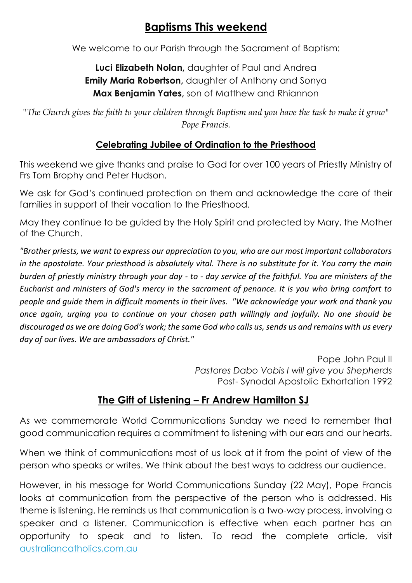# **Baptisms This weekend**

We welcome to our Parish through the Sacrament of Baptism:

#### **Luci Elizabeth Nolan,** daughter of Paul and Andrea **Emily Maria Robertson,** daughter of Anthony and Sonya **Max Benjamin Yates,** son of Matthew and Rhiannon

*"The Church gives the faith to your children through Baptism and you have the task to make it grow" Pope Francis.*

#### **Celebrating Jubilee of Ordination to the Priesthood**

This weekend we give thanks and praise to God for over 100 years of Priestly Ministry of Frs Tom Brophy and Peter Hudson.

We ask for God's continued protection on them and acknowledge the care of their families in support of their vocation to the Priesthood.

May they continue to be guided by the Holy Spirit and protected by Mary, the Mother of the Church.

*"Brother priests, we want to express our appreciation to you, who are our most important collaborators in the apostolate. Your priesthood is absolutely vital. There is no substitute for it. You carry the main burden of priestly ministry through your day - to - day service of the faithful. You are ministers of the Eucharist and ministers of God's mercy in the sacrament of penance. It is you who bring comfort to people and guide them in difficult moments in their lives. "We acknowledge your work and thank you once again, urging you to continue on your chosen path willingly and joyfully. No one should be discouraged as we are doing God's work; the same God who calls us, sends us and remains with us every day of our lives. We are ambassadors of Christ."*

> Pope John Paul II *Pastores Dabo Vobis I will give you Shepherds* Post- Synodal Apostolic Exhortation 1992

### **The Gift of Listening – Fr Andrew Hamilton SJ**

As we commemorate World Communications Sunday we need to remember that good communication requires a commitment to listening with our ears and our hearts.

When we think of communications most of us look at it from the point of view of the person who speaks or writes. We think about the best ways to address our audience.

However, in his message for World Communications Sunday (22 May), Pope Francis looks at communication from the perspective of the person who is addressed. His theme is listening. He reminds us that communication is a two-way process, involving a speaker and a listener. Communication is effective when each partner has an opportunity to speak and to listen. To read the complete article, visit [australiancatholics.com.au](https://www.australiancatholics.com.au/article/the-gift-of-listening?utm_medium=email&utm_campaign=Parish%20Life%20e-newsletter%206th%20Sunday%20of%20Easter%20Year%20C%20%2022%20May%202022&utm_content=Parish%20Life%20e-newsletter%206th%20Sunday%20of%20Easter%20Year%20C%20%2022%20May%202022+CID_d45a40388f967d2e90bd9d34787531c8&utm_source=Jescom%20Newsletters&utm_term=The%20gift%20of%20listening)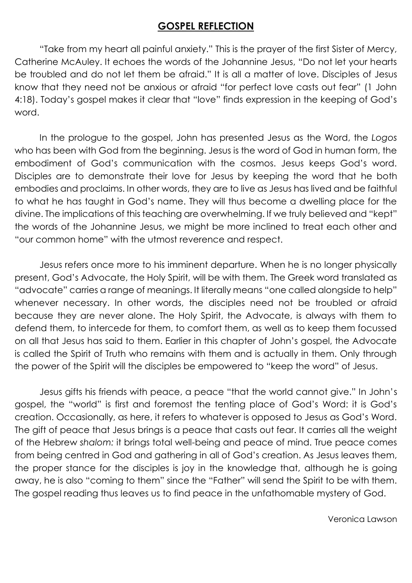#### **GOSPEL REFLECTION**

"Take from my heart all painful anxiety." This is the prayer of the first Sister of Mercy, Catherine McAuley. It echoes the words of the Johannine Jesus, "Do not let your hearts be troubled and do not let them be afraid." It is all a matter of love. Disciples of Jesus know that they need not be anxious or afraid "for perfect love casts out fear" (1 John 4:18). Today's gospel makes it clear that "love" finds expression in the keeping of God's word.

In the prologue to the gospel, John has presented Jesus as the Word, the *Logos* who has been with God from the beginning. Jesus is the word of God in human form, the embodiment of God's communication with the cosmos. Jesus keeps God's word. Disciples are to demonstrate their love for Jesus by keeping the word that he both embodies and proclaims. In other words, they are to live as Jesus has lived and be faithful to what he has taught in God's name. They will thus become a dwelling place for the divine. The implications of this teaching are overwhelming. If we truly believed and "kept" the words of the Johannine Jesus, we might be more inclined to treat each other and "our common home" with the utmost reverence and respect.

Jesus refers once more to his imminent departure. When he is no longer physically present, God's Advocate, the Holy Spirit, will be with them. The Greek word translated as "advocate" carries a range of meanings. It literally means "one called alongside to help" whenever necessary. In other words, the disciples need not be troubled or afraid because they are never alone. The Holy Spirit, the Advocate, is always with them to defend them, to intercede for them, to comfort them, as well as to keep them focussed on all that Jesus has said to them. Earlier in this chapter of John's gospel, the Advocate is called the Spirit of Truth who remains with them and is actually in them. Only through the power of the Spirit will the disciples be empowered to "keep the word" of Jesus.

Jesus gifts his friends with peace, a peace "that the world cannot give." In John's gospel, the "world" is first and foremost the tenting place of God's Word: it is God's creation. Occasionally, as here, it refers to whatever is opposed to Jesus as God's Word. The gift of peace that Jesus brings is a peace that casts out fear. It carries all the weight of the Hebrew *shalom:* it brings total well-being and peace of mind. True peace comes from being centred in God and gathering in all of God's creation. As Jesus leaves them, the proper stance for the disciples is joy in the knowledge that, although he is going away, he is also "coming to them" since the "Father" will send the Spirit to be with them. The gospel reading thus leaves us to find peace in the unfathomable mystery of God.

Veronica Lawson